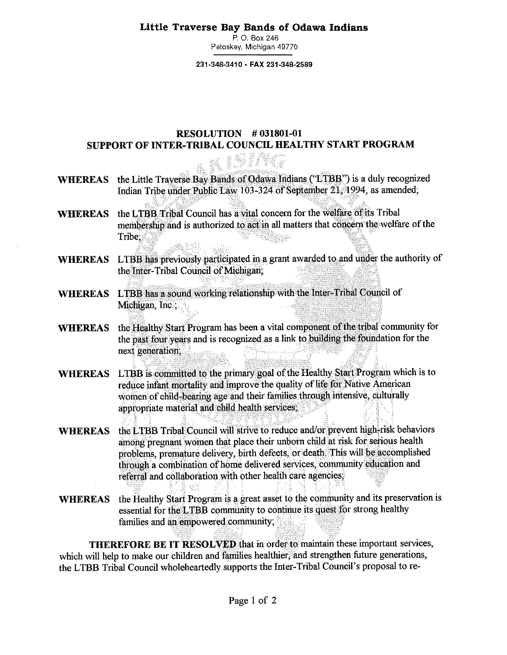## **Little Traverse Bay Bands of Odawa Indians**

P. O. Box 246 Petoskey, Michigan 49770

**231-348-3410 • FAX 231-348-2589** 

## **RESOLUTION # 031801-01 SUPPORT OF INTER-TRIBAL COUNCIL HEALTHY START PROGRAM**

- **WHEREAS**  the Little Traverse Bay Bands of Odawa Indians ("LTBB") is a duly recognized Indian Tribe under Public Law 103-324 of September 21, 1994, as amended;
- **WHEREAS** the LTBB Tribal Council has a vital concern for the welfare of its Tribal membership and is authorized to act in all matters that concern the welfare of the Tribe: te i Septem
- **WHEREAS**  LTBB has previously participated in a grant awarded to and under the authority of the Inter-Tribal Council of Michigan;
- **WHEREAS** LTBB has a sound working relationship with the Inter-Tribal Council of Michigan, Inc.;
- **WHEREAS**  the Healthy Start Program has been a vital component of the tribal community for the past four years and is recognized as a link to building the foundation for the next generation;
- **WHEREAS**  LTBB is committed to the primary goal of the Healthy Start Program which is to reduce infant mortality and improve the quality of lite for Native American women of child-bearing age and their families through intensive, culturally appropriate material and child health services;
- **WHEREAS**  the LTBB Tribal Council will strive to reduce and/or prevent high-risk behaviors among pregnant women that place their unborn child at risk for serious health problems, premature delivery, birth defects, or death. This will be accomplished through a combination of home delivered services, community education and referral and collaboration with other health care agencies;
- WHEREAS the Healthy Start Program is a great asset to the community and its preservation is essential for the LTBB community to continue its quest for strong healthy families and an empowered community;

**THEREFORE BE IT RESOLVED that** in order to maintain these important services, which will help to make our children and families healthier, and strengthen future generations, the LTBB Tribal Council wholeheartedly supports the Inter-Tribal Council's proposal to re